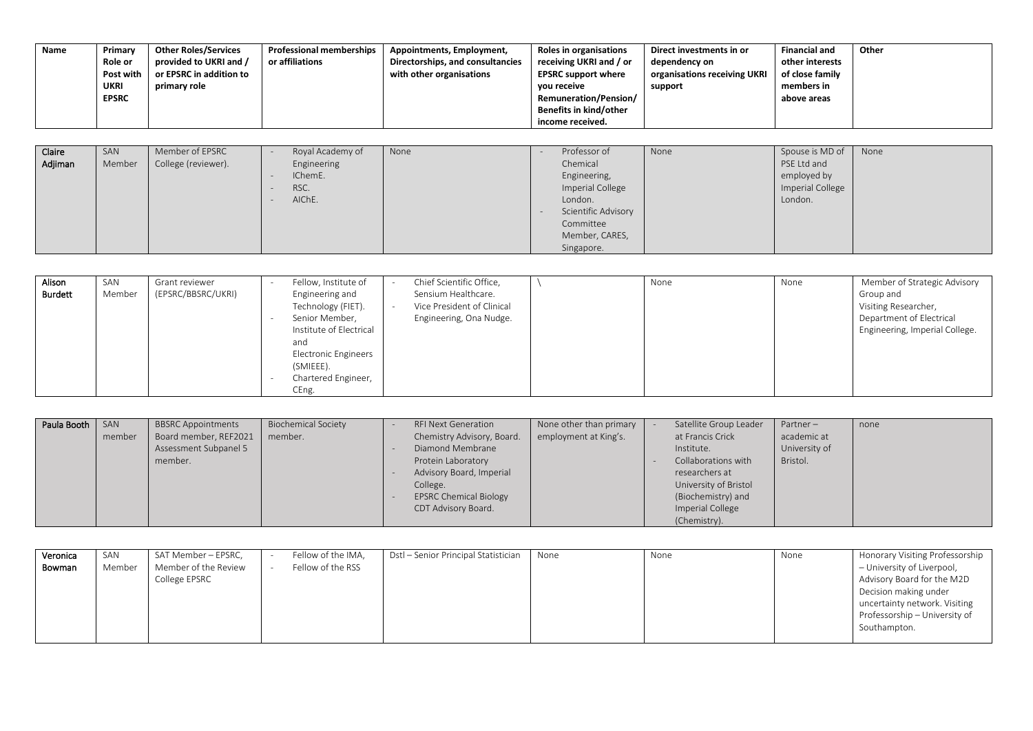| Name              | Primary<br><b>Role or</b><br>Post with<br>UKRI<br><b>EPSRC</b> | <b>Other Roles/Services</b><br>provided to UKRI and /<br>or EPSRC in addition to<br>primary role | <b>Professional memberships</b><br>or affiliations           | Appointments, Employment,<br>Directorships, and consultancies<br>with other organisations | <b>Roles in organisations</b><br>receiving UKRI and / or<br><b>EPSRC support where</b><br>you receive<br>Remuneration/Pension/<br>Benefits in kind/other<br>income received. | Direct investments in or<br>dependency on<br>organisations receiving UKRI<br>support | <b>Financial and</b><br>other interests<br>of close family<br>members in<br>above areas | Other |
|-------------------|----------------------------------------------------------------|--------------------------------------------------------------------------------------------------|--------------------------------------------------------------|-------------------------------------------------------------------------------------------|------------------------------------------------------------------------------------------------------------------------------------------------------------------------------|--------------------------------------------------------------------------------------|-----------------------------------------------------------------------------------------|-------|
|                   |                                                                |                                                                                                  |                                                              |                                                                                           |                                                                                                                                                                              |                                                                                      |                                                                                         |       |
| Claire<br>Adjiman | SAN<br>Member                                                  | Member of EPSRC<br>College (reviewer).                                                           | Royal Academy of<br>Engineering<br>IChemE.<br>RSC.<br>AIChE. | None                                                                                      | Professor of<br>Chemical<br>Engineering,<br>Imperial College<br>London.<br>Scientific Advisory<br>Committee<br>Member, CARES,<br>Singapore.                                  | None                                                                                 | Spouse is MD of<br>PSE Ltd and<br>employed by<br>Imperial College<br>London.            | None  |

| Alison<br>Burdett | SAN<br>Member | Grant reviewer<br>(EPSRC/BBSRC/UKRI) | Fellow, Institute of<br>Engineering and<br>Technology (FIET).<br>Senior Member,<br>Institute of Electrical<br>and<br>Electronic Engineers<br>(SMIEEE).<br>Chartered Engineer,<br>CEng. | Chief Scientific Office,<br>Sensium Healthcare.<br>Vice President of Clinical<br>Engineering, Ona Nudge. |  | None | None | Member of Strategic Advisory<br>Group and<br>Visiting Researcher,<br>Department of Electrical<br>Engineering, Imperial College. |
|-------------------|---------------|--------------------------------------|----------------------------------------------------------------------------------------------------------------------------------------------------------------------------------------|----------------------------------------------------------------------------------------------------------|--|------|------|---------------------------------------------------------------------------------------------------------------------------------|
|-------------------|---------------|--------------------------------------|----------------------------------------------------------------------------------------------------------------------------------------------------------------------------------------|----------------------------------------------------------------------------------------------------------|--|------|------|---------------------------------------------------------------------------------------------------------------------------------|

| Paula Booth | SAN    | <b>BBSRC Appointments</b> | <b>Biochemical Society</b> | <b>RFI Next Generation</b>    | None other than primary | Satellite Group Leader | Partner-      | none |
|-------------|--------|---------------------------|----------------------------|-------------------------------|-------------------------|------------------------|---------------|------|
|             | member | Board member, REF2021     | member.                    | Chemistry Advisory, Board.    | employment at King's.   | at Francis Crick       | academic at   |      |
|             |        | Assessment Subpanel 5     |                            | Diamond Membrane              |                         | Institute.             | University of |      |
|             |        | member.                   |                            | Protein Laboratory            |                         | Collaborations with    | Bristol.      |      |
|             |        |                           |                            | Advisory Board, Imperial      |                         | researchers at         |               |      |
|             |        |                           |                            | College.                      |                         | University of Bristol  |               |      |
|             |        |                           |                            | <b>EPSRC Chemical Biology</b> |                         | (Biochemistry) and     |               |      |
|             |        |                           |                            | CDT Advisory Board.           |                         | Imperial College       |               |      |
|             |        |                           |                            |                               |                         | (Chemistry).           |               |      |

| Veronica | SAN    | SAT Member – EPSRC,  | Fellow of the IMA, | Dstl – Senior Principal Statistician | None | None | None | Honorary Visiting Professorship |
|----------|--------|----------------------|--------------------|--------------------------------------|------|------|------|---------------------------------|
| Bowman   | Member | Member of the Review | Fellow of the RSS  |                                      |      |      |      | - University of Liverpool,      |
|          |        | College EPSRC        |                    |                                      |      |      |      | Advisory Board for the M2D      |
|          |        |                      |                    |                                      |      |      |      | Decision making under           |
|          |        |                      |                    |                                      |      |      |      | uncertainty network. Visiting   |
|          |        |                      |                    |                                      |      |      |      | Professorship – University of   |
|          |        |                      |                    |                                      |      |      |      | Southampton.                    |
|          |        |                      |                    |                                      |      |      |      |                                 |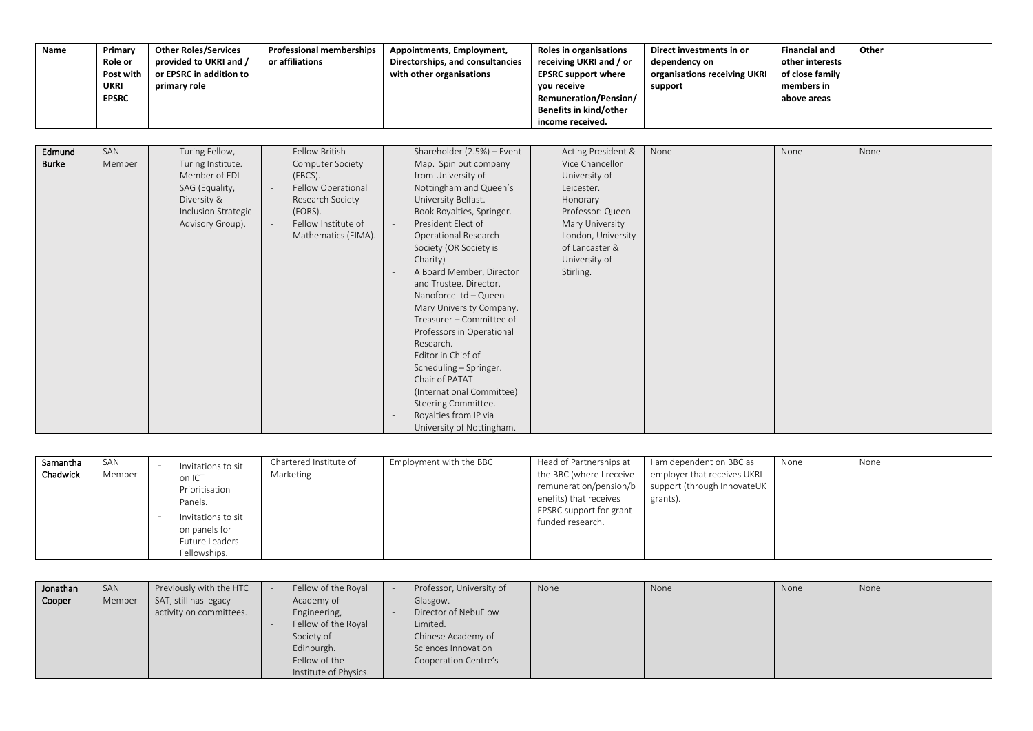| Name                   | Primary<br><b>Role or</b><br>Post with<br><b>UKRI</b><br><b>EPSRC</b> | <b>Other Roles/Services</b><br>provided to UKRI and /<br>or EPSRC in addition to<br>primary role                                 | <b>Professional memberships</b><br>or affiliations                                                                                                      | Appointments, Employment,<br>Directorships, and consultancies<br>with other organisations                                                                                                                                                                                                                                                                                                                                                                                                                                                                                                                       | Roles in organisations<br>receiving UKRI and / or<br><b>EPSRC support where</b><br>you receive<br>Remuneration/Pension/<br>Benefits in kind/other<br>income received.                         | Direct investments in or<br>dependency on<br>organisations receiving UKRI<br>support | <b>Financial and</b><br>other interests<br>of close family<br>members in<br>above areas | Other |
|------------------------|-----------------------------------------------------------------------|----------------------------------------------------------------------------------------------------------------------------------|---------------------------------------------------------------------------------------------------------------------------------------------------------|-----------------------------------------------------------------------------------------------------------------------------------------------------------------------------------------------------------------------------------------------------------------------------------------------------------------------------------------------------------------------------------------------------------------------------------------------------------------------------------------------------------------------------------------------------------------------------------------------------------------|-----------------------------------------------------------------------------------------------------------------------------------------------------------------------------------------------|--------------------------------------------------------------------------------------|-----------------------------------------------------------------------------------------|-------|
| Edmund<br><b>Burke</b> | SAN<br>Member                                                         | Turing Fellow,<br>Turing Institute.<br>Member of EDI<br>SAG (Equality,<br>Diversity &<br>Inclusion Strategic<br>Advisory Group). | <b>Fellow British</b><br>Computer Society<br>(FBCS).<br>Fellow Operational<br>Research Society<br>(FORS).<br>Fellow Institute of<br>Mathematics (FIMA). | Shareholder (2.5%) - Event<br>Map. Spin out company<br>from University of<br>Nottingham and Queen's<br>University Belfast.<br>Book Royalties, Springer.<br>President Elect of<br><b>Operational Research</b><br>Society (OR Society is<br>Charity)<br>A Board Member, Director<br>and Trustee. Director,<br>Nanoforce ltd - Queen<br>Mary University Company.<br>Treasurer - Committee of<br>Professors in Operational<br>Research.<br>Editor in Chief of<br>Scheduling - Springer.<br>Chair of PATAT<br>(International Committee)<br>Steering Committee.<br>Royalties from IP via<br>University of Nottingham. | Acting President &<br>Vice Chancellor<br>University of<br>Leicester.<br>Honorary<br>Professor: Queen<br>Mary University<br>London, University<br>of Lancaster &<br>University of<br>Stirling. | None                                                                                 | None                                                                                    | None  |

| Samantha<br>Chadwick | SAN<br>Member |  | Invitations to sit<br>on ICT<br>Prioritisation<br>Panels.<br>Invitations to sit<br>on panels for<br>Future Leaders<br>Fellowships. | Chartered Institute of<br>Marketing | Employment with the BBC | Head of Partnerships at<br>the BBC (where I receive<br>remuneration/pension/b<br>enefits) that receives<br>EPSRC support for grant-<br>funded research. | I am dependent on BBC as<br>employer that receives UKRI<br>support (through InnovateUK<br>grants). | None | None |
|----------------------|---------------|--|------------------------------------------------------------------------------------------------------------------------------------|-------------------------------------|-------------------------|---------------------------------------------------------------------------------------------------------------------------------------------------------|----------------------------------------------------------------------------------------------------|------|------|
|----------------------|---------------|--|------------------------------------------------------------------------------------------------------------------------------------|-------------------------------------|-------------------------|---------------------------------------------------------------------------------------------------------------------------------------------------------|----------------------------------------------------------------------------------------------------|------|------|

| Jonathan | SAN    | Previously with the HTC | Fellow of the Royal   | Professor, University of | None | None | None | None |
|----------|--------|-------------------------|-----------------------|--------------------------|------|------|------|------|
| Cooper   | Member | SAT, still has legacy   | Academy of            | Glasgow.                 |      |      |      |      |
|          |        | activity on committees. | Engineering,          | Director of NebuFlow     |      |      |      |      |
|          |        |                         | Fellow of the Royal   | Limited.                 |      |      |      |      |
|          |        |                         | Society of            | Chinese Academy of       |      |      |      |      |
|          |        |                         | Edinburgh.            | Sciences Innovation      |      |      |      |      |
|          |        |                         | Fellow of the         | Cooperation Centre's     |      |      |      |      |
|          |        |                         | Institute of Physics. |                          |      |      |      |      |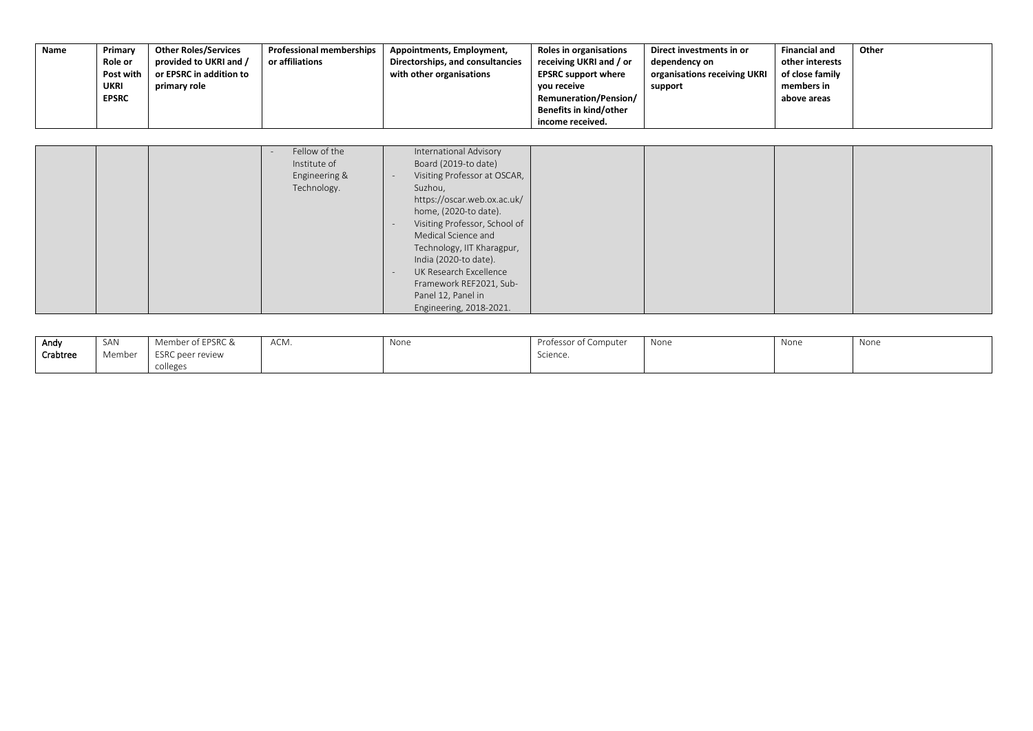| Name | Primary        | <b>Other Roles/Services</b> | <b>Professional memberships</b> | Appointments, Employment,        | Roles in organisations       | Direct investments in or     | <b>Financial and</b> | Other |
|------|----------------|-----------------------------|---------------------------------|----------------------------------|------------------------------|------------------------------|----------------------|-------|
|      | <b>Role or</b> | provided to UKRI and /      | or affiliations                 | Directorships, and consultancies | receiving UKRI and / or      | dependency on                | other interests      |       |
|      | Post with      | or EPSRC in addition to     |                                 | with other organisations         | <b>EPSRC support where</b>   | organisations receiving UKRI | of close family      |       |
|      | UKRI           | primary role                |                                 |                                  | vou receive                  | support                      | members in           |       |
|      | <b>EPSRC</b>   |                             |                                 |                                  | <b>Remuneration/Pension/</b> |                              | above areas          |       |
|      |                |                             |                                 |                                  | Benefits in kind/other       |                              |                      |       |
|      |                |                             |                                 |                                  | income received.             |                              |                      |       |

|  | Fellow of the<br>Institute of<br>Engineering &<br>Technology. | International Advisory<br>Board (2019-to date)<br>Visiting Professor at OSCAR,<br>Suzhou,<br>https://oscar.web.ox.ac.uk/<br>home, (2020-to date).<br>Visiting Professor, School of<br>Medical Science and<br>Technology, IIT Kharagpur,<br>India (2020-to date).<br>UK Research Excellence<br>Framework REF2021, Sub-<br>Panel 12, Panel in<br>Engineering, 2018-2021. |  |  |  |  |
|--|---------------------------------------------------------------|------------------------------------------------------------------------------------------------------------------------------------------------------------------------------------------------------------------------------------------------------------------------------------------------------------------------------------------------------------------------|--|--|--|--|
|--|---------------------------------------------------------------|------------------------------------------------------------------------------------------------------------------------------------------------------------------------------------------------------------------------------------------------------------------------------------------------------------------------------------------------------------------------|--|--|--|--|

| Andy     | SAN    | Member of EPSRC & | ACM. | None | Professor of Computer | None | None | None |
|----------|--------|-------------------|------|------|-----------------------|------|------|------|
| Crabtree | Member | ESRC peer review  |      |      | Science.              |      |      |      |
|          |        | colleges          |      |      |                       |      |      |      |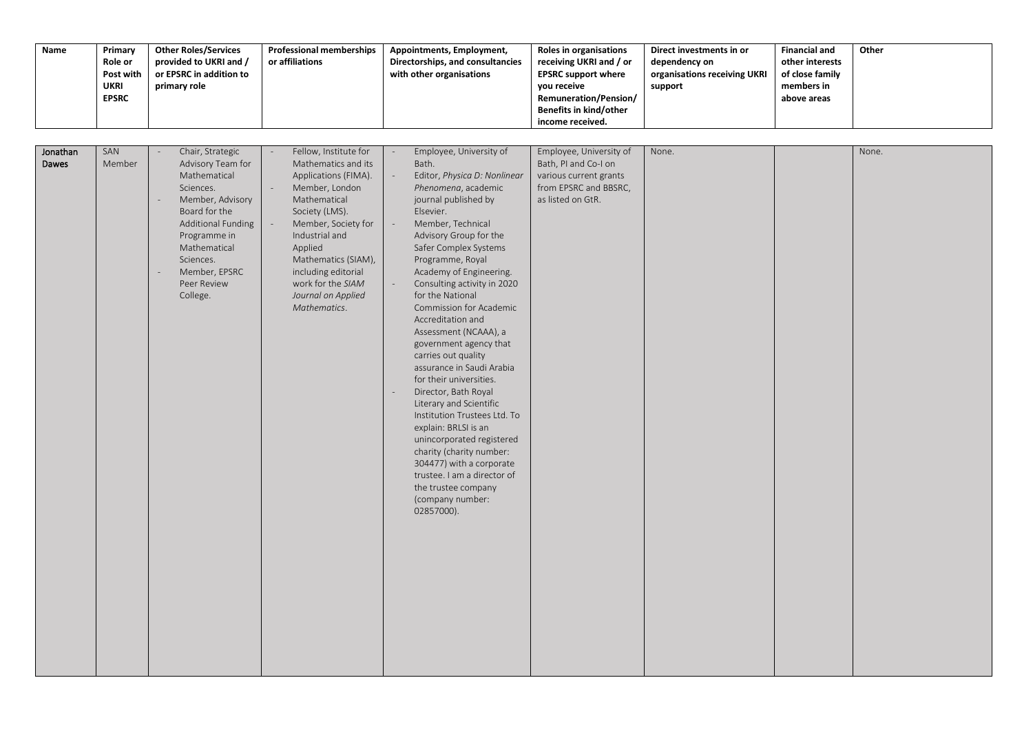| Name              | Primary<br>Role or<br>Post with<br><b>UKRI</b><br><b>EPSRC</b> | <b>Other Roles/Services</b><br>provided to UKRI and /<br>or EPSRC in addition to<br>primary role                                                                                                                                        | <b>Professional memberships</b><br>or affiliations                                                                                                                                                                                                                                                                | Appointments, Employment,<br>Directorships, and consultancies<br>with other organisations                                                                                                                                                                                                                                                                                                                                                                                                                                                                                                                                                                                                                                                                                                                    | Roles in organisations<br>receiving UKRI and / or<br><b>EPSRC support where</b><br>you receive<br>Remuneration/Pension/<br>Benefits in kind/other<br>income received. | Direct investments in or<br>dependency on<br>organisations receiving UKRI<br>support | <b>Financial and</b><br>other interests<br>of close family<br>members in<br>above areas | Other |
|-------------------|----------------------------------------------------------------|-----------------------------------------------------------------------------------------------------------------------------------------------------------------------------------------------------------------------------------------|-------------------------------------------------------------------------------------------------------------------------------------------------------------------------------------------------------------------------------------------------------------------------------------------------------------------|--------------------------------------------------------------------------------------------------------------------------------------------------------------------------------------------------------------------------------------------------------------------------------------------------------------------------------------------------------------------------------------------------------------------------------------------------------------------------------------------------------------------------------------------------------------------------------------------------------------------------------------------------------------------------------------------------------------------------------------------------------------------------------------------------------------|-----------------------------------------------------------------------------------------------------------------------------------------------------------------------|--------------------------------------------------------------------------------------|-----------------------------------------------------------------------------------------|-------|
| Jonathan<br>Dawes | SAN<br>Member                                                  | Chair, Strategic<br>Advisory Team for<br>Mathematical<br>Sciences.<br>Member, Advisory<br>Board for the<br><b>Additional Funding</b><br>Programme in<br>Mathematical<br>Sciences.<br>Member, EPSRC<br>$\sim$<br>Peer Review<br>College. | Fellow, Institute for<br>$\overline{\phantom{a}}$<br>Mathematics and its<br>Applications (FIMA).<br>Member, London<br>Mathematical<br>Society (LMS).<br>Member, Society for<br>Industrial and<br>Applied<br>Mathematics (SIAM),<br>including editorial<br>work for the SIAM<br>Journal on Applied<br>Mathematics. | Employee, University of<br>Bath.<br>Editor, Physica D: Nonlinear<br>Phenomena, academic<br>journal published by<br>Elsevier.<br>Member, Technical<br>Advisory Group for the<br>Safer Complex Systems<br>Programme, Royal<br>Academy of Engineering.<br>Consulting activity in 2020<br>for the National<br>Commission for Academic<br>Accreditation and<br>Assessment (NCAAA), a<br>government agency that<br>carries out quality<br>assurance in Saudi Arabia<br>for their universities.<br>Director, Bath Royal<br>$\overline{\phantom{a}}$<br>Literary and Scientific<br>Institution Trustees Ltd. To<br>explain: BRLSI is an<br>unincorporated registered<br>charity (charity number:<br>304477) with a corporate<br>trustee. I am a director of<br>the trustee company<br>(company number:<br>02857000). | Employee, University of<br>Bath, PI and Co-I on<br>various current grants<br>from EPSRC and BBSRC,<br>as listed on GtR.                                               | None.                                                                                |                                                                                         | None. |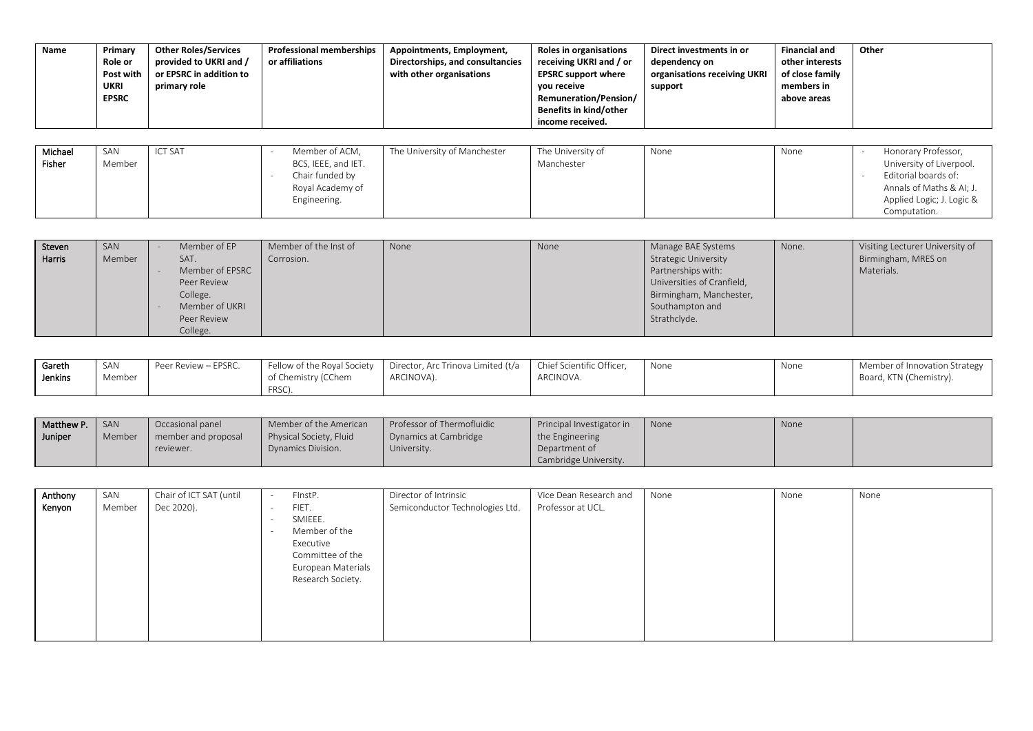| Name    | Primary<br>Role or<br>Post with<br>UKRI<br><b>EPSRC</b> | <b>Other Roles/Services</b><br>provided to UKRI and /<br>or EPSRC in addition to<br>primary role | <b>Professional memberships</b><br>or affiliations | Appointments, Employment,<br>Directorships, and consultancies<br>with other organisations | Roles in organisations<br>receiving UKRI and / or<br><b>EPSRC support where</b><br>vou receive<br><b>Remuneration/Pension/</b><br>Benefits in kind/other<br>income received. | Direct investments in or<br>dependency on<br>organisations receiving UKRI<br>support | <b>Financial and</b><br>other interests<br>of close family<br>members in<br>above areas | Other               |
|---------|---------------------------------------------------------|--------------------------------------------------------------------------------------------------|----------------------------------------------------|-------------------------------------------------------------------------------------------|------------------------------------------------------------------------------------------------------------------------------------------------------------------------------|--------------------------------------------------------------------------------------|-----------------------------------------------------------------------------------------|---------------------|
|         |                                                         |                                                                                                  |                                                    |                                                                                           |                                                                                                                                                                              |                                                                                      |                                                                                         |                     |
| Michael | SAN                                                     | <b>ICT SAT</b>                                                                                   | Member of ACM,                                     | The University of Manchester                                                              | The University of                                                                                                                                                            | None                                                                                 | None                                                                                    | Honorary Professor, |

| .      | .      | . |                     | .          | . | . |                           |
|--------|--------|---|---------------------|------------|---|---|---------------------------|
| Fisher | Member |   | BCS, IEEE, and IET. | Manchester |   |   | University of Liverpool.  |
|        |        |   | Chair funded by     |            |   |   | Editorial boards of:      |
|        |        |   | Royal Academy of    |            |   |   | Annals of Maths & AI; J.  |
|        |        |   | Engineering.        |            |   |   | Applied Logic; J. Logic & |
|        |        |   |                     |            |   |   | Computation.              |

| Steven | SAN    | Member of EP    | Member of the Inst of | None | None | Manage BAE Systems         | None. | Visiting Lecturer University of |
|--------|--------|-----------------|-----------------------|------|------|----------------------------|-------|---------------------------------|
| Harris | Member | SAT.            | Corrosion.            |      |      | Strategic University       |       | Birmingham, MRES on             |
|        |        | Member of EPSRC |                       |      |      | Partnerships with:         |       | Materials.                      |
|        |        | Peer Review     |                       |      |      | Universities of Cranfield, |       |                                 |
|        |        | College.        |                       |      |      | Birmingham, Manchester,    |       |                                 |
|        |        | Member of UKRI  |                       |      |      | Southampton and            |       |                                 |
|        |        | Peer Review     |                       |      |      | Strathclyde.               |       |                                 |
|        |        | College.        |                       |      |      |                            |       |                                 |

| Gareth  | SAN    | Peer Review – EPSRC. | Fellow of the Royal Society | Director, Arc Trinova Limited (t/a | Chief Scientific Officer. | None | None | Member of Innovation Strategy |
|---------|--------|----------------------|-----------------------------|------------------------------------|---------------------------|------|------|-------------------------------|
| Jenkins | Member |                      | of Chemistry (CChem         | ARCINOVA).                         | ARCINOVA.                 |      |      | Board, KTN (Chemistry).       |
|         |        |                      | ERSC<br>.                   |                                    |                           |      |      |                               |

| Matthew P. | SAN    | Occasional panel    | Member of the American  | Professor of Thermofluidic | Principal Investigator in | None | None |  |
|------------|--------|---------------------|-------------------------|----------------------------|---------------------------|------|------|--|
| Uuniper    | Member | member and proposal | Physical Society, Fluid | Dynamics at Cambridge      | the Engineering           |      |      |  |
|            |        | reviewer.           | Dynamics Division.      | University.                | Department of             |      |      |  |
|            |        |                     |                         |                            | Cambridge University.     |      |      |  |

| Anthony | SAN    | Chair of ICT SAT (until | $\overline{\phantom{a}}$ | FinstP.            | Director of Intrinsic           | Vice Dean Research and | None | None | None |
|---------|--------|-------------------------|--------------------------|--------------------|---------------------------------|------------------------|------|------|------|
| Kenyon  | Member | Dec 2020).              |                          | FIET.              | Semiconductor Technologies Ltd. | Professor at UCL.      |      |      |      |
|         |        |                         | . .                      | SMIEEE.            |                                 |                        |      |      |      |
|         |        |                         | . .                      | Member of the      |                                 |                        |      |      |      |
|         |        |                         |                          | Executive          |                                 |                        |      |      |      |
|         |        |                         |                          | Committee of the   |                                 |                        |      |      |      |
|         |        |                         |                          | European Materials |                                 |                        |      |      |      |
|         |        |                         |                          | Research Society.  |                                 |                        |      |      |      |
|         |        |                         |                          |                    |                                 |                        |      |      |      |
|         |        |                         |                          |                    |                                 |                        |      |      |      |
|         |        |                         |                          |                    |                                 |                        |      |      |      |
|         |        |                         |                          |                    |                                 |                        |      |      |      |
|         |        |                         |                          |                    |                                 |                        |      |      |      |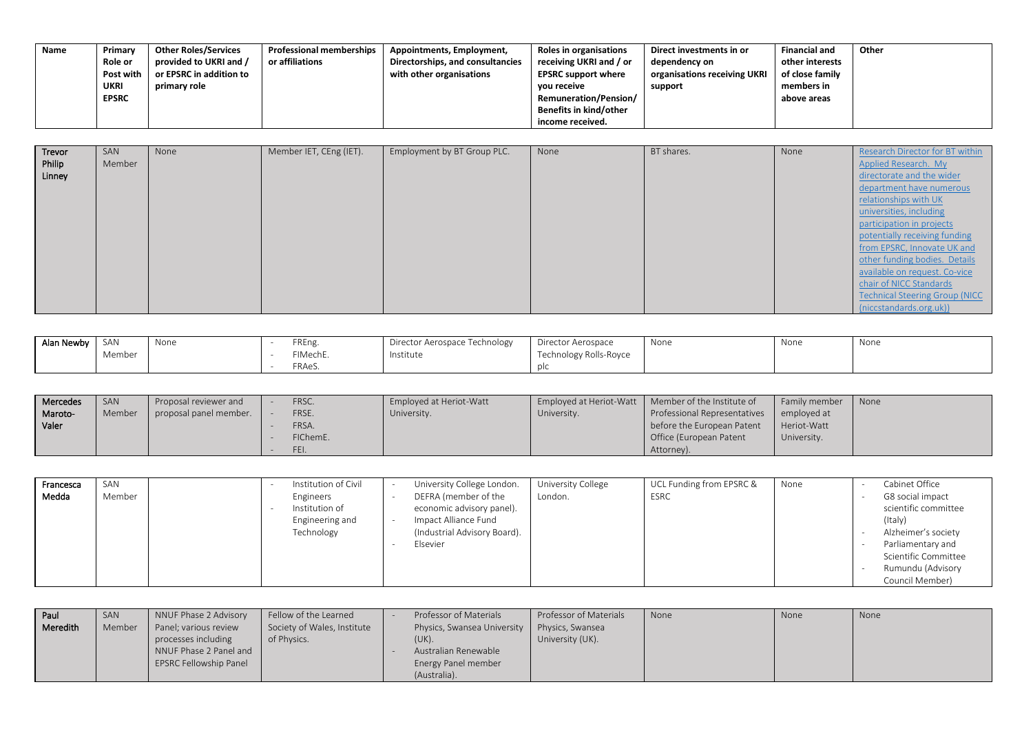| Name | Primary        | <b>Other Roles/Services</b> | <b>Professional memberships</b> | Appointments, Employment,        | Roles in organisations       | Direct investments in or     | <b>Financial and</b> | Other |
|------|----------------|-----------------------------|---------------------------------|----------------------------------|------------------------------|------------------------------|----------------------|-------|
|      | <b>Role or</b> | provided to UKRI and /      | or affiliations                 | Directorships, and consultancies | receiving UKRI and / or      | dependency on                | other interests      |       |
|      | Post with      | or EPSRC in addition to     |                                 | with other organisations         | <b>EPSRC support where</b>   | organisations receiving UKRI | of close family      |       |
|      | UKRI           | primary role                |                                 |                                  | vou receive                  | support                      | members in           |       |
|      | <b>EPSRC</b>   |                             |                                 |                                  | <b>Remuneration/Pension/</b> |                              | above areas          |       |
|      |                |                             |                                 |                                  | Benefits in kind/other       |                              |                      |       |
|      |                |                             |                                 |                                  | income received.             |                              |                      |       |

| Trevor           | SAN    | None | Member IET, CEng (IET). | Employment by BT Group PLC. | None | BT shares. | None | Research Director for BT within                   |
|------------------|--------|------|-------------------------|-----------------------------|------|------------|------|---------------------------------------------------|
| Philip<br>Linney | Member |      |                         |                             |      |            |      | Applied Research. My<br>directorate and the wider |
|                  |        |      |                         |                             |      |            |      |                                                   |
|                  |        |      |                         |                             |      |            |      | department have numerous                          |
|                  |        |      |                         |                             |      |            |      | relationships with UK                             |
|                  |        |      |                         |                             |      |            |      | universities, including                           |
|                  |        |      |                         |                             |      |            |      | participation in projects                         |
|                  |        |      |                         |                             |      |            |      | potentially receiving funding                     |
|                  |        |      |                         |                             |      |            |      | from EPSRC, Innovate UK and                       |
|                  |        |      |                         |                             |      |            |      | other funding bodies. Details                     |
|                  |        |      |                         |                             |      |            |      | available on request. Co-vice                     |
|                  |        |      |                         |                             |      |            |      | chair of NICC Standards                           |
|                  |        |      |                         |                             |      |            |      | <b>Technical Steering Group (NICC</b>             |
|                  |        |      |                         |                             |      |            |      | (niccstandards.org.uk))                           |

| Alan Newby | SAN    | None | FREng.   | Director Aerospace Technology | Director Aerospace     | None | None | None |
|------------|--------|------|----------|-------------------------------|------------------------|------|------|------|
|            | Member |      | FIMechE. | Institute                     | Technology Rolls-Royce |      |      |      |
|            |        |      | FRAeS.   |                               |                        |      |      |      |

| Mercedes | SAN    | Proposal reviewer and  | FRSC.    | Employed at Heriot-Watt |             | Employed at Heriot-Watt   Member of the Institute of | Family member | None |
|----------|--------|------------------------|----------|-------------------------|-------------|------------------------------------------------------|---------------|------|
| Maroto-  | Member | proposal panel member. | FRSE.    | University.             | University. | Professional Representatives                         | emploved at   |      |
| Valer    |        |                        | FRSA.    |                         |             | before the European Patent                           | Heriot-Watt   |      |
|          |        |                        | FIChemE. |                         |             | Office (European Patent                              | University.   |      |
|          |        |                        | FEI.     |                         |             | Attorney).                                           |               |      |

| Francesca<br>Medda | SAN<br>Member | Institution of Civil<br>Engineers<br>Institution of<br>Engineering and<br>Technology | University College London.<br>DEFRA (member of the<br>economic advisory panel).<br>Impact Alliance Fund<br>(Industrial Advisory Board).<br>Elsevier | University College<br>London. | UCL Funding from EPSRC &<br><b>ESRC</b> | None | Cabinet Office<br>G8 social impact<br>scientific committee<br>(Italy)<br>Alzheimer's society<br>Parliamentary and<br>Scientific Committee<br>Rumundu (Advisory<br>Council Member) |
|--------------------|---------------|--------------------------------------------------------------------------------------|-----------------------------------------------------------------------------------------------------------------------------------------------------|-------------------------------|-----------------------------------------|------|-----------------------------------------------------------------------------------------------------------------------------------------------------------------------------------|
|--------------------|---------------|--------------------------------------------------------------------------------------|-----------------------------------------------------------------------------------------------------------------------------------------------------|-------------------------------|-----------------------------------------|------|-----------------------------------------------------------------------------------------------------------------------------------------------------------------------------------|

| l Paul   | SAN    | NNUF Phase 2 Advisory  | Fellow of the Learned       | Professor of Materials                       | Professor of Materials | None | None | None |
|----------|--------|------------------------|-----------------------------|----------------------------------------------|------------------------|------|------|------|
| Meredith | Member | Panel; various review  | Society of Wales, Institute | Physics, Swansea University Physics, Swansea |                        |      |      |      |
|          |        | processes including    | of Physics.                 | (UK).                                        | University (UK).       |      |      |      |
|          |        | NNUF Phase 2 Panel and |                             | Australian Renewable                         |                        |      |      |      |
|          |        | EPSRC Fellowship Panel |                             | Energy Panel member                          |                        |      |      |      |
|          |        |                        |                             | (Australia).                                 |                        |      |      |      |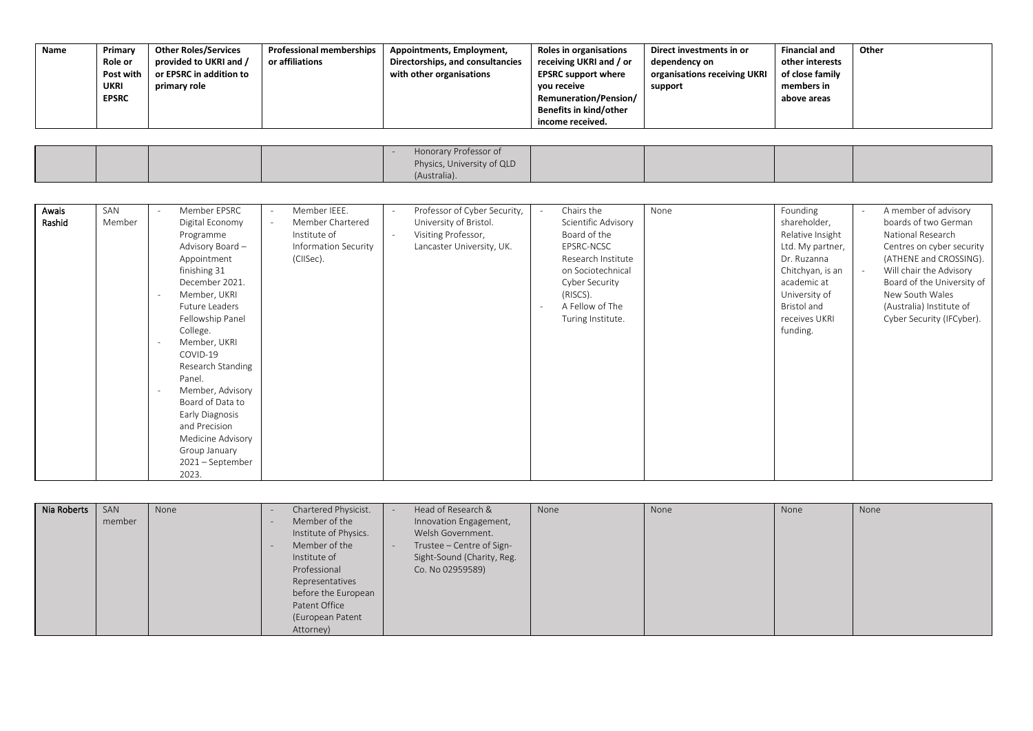| Name | Primary<br><b>Role or</b><br>Post with<br>UKRI<br><b>EPSRC</b> | <b>Other Roles/Services</b><br>provided to UKRI and /<br>or EPSRC in addition to<br>primary role | <b>Professional memberships</b><br>or affiliations | Appointments, Employment,<br>Directorships, and consultancies<br>with other organisations | Roles in organisations<br>receiving UKRI and / or<br><b>EPSRC support where</b><br>vou receive<br><b>Remuneration/Pension/</b><br>Benefits in kind/other<br>income received. | Direct investments in or<br>dependency on<br>organisations receiving UKRI<br>support | <b>Financial and</b><br>other interests<br>of close family<br>members in<br>above areas | Other |
|------|----------------------------------------------------------------|--------------------------------------------------------------------------------------------------|----------------------------------------------------|-------------------------------------------------------------------------------------------|------------------------------------------------------------------------------------------------------------------------------------------------------------------------------|--------------------------------------------------------------------------------------|-----------------------------------------------------------------------------------------|-------|
|      |                                                                |                                                                                                  |                                                    |                                                                                           |                                                                                                                                                                              |                                                                                      |                                                                                         |       |

|  |  | Honorary Professor of      |  |  |
|--|--|----------------------------|--|--|
|  |  | Physics, University of QLD |  |  |
|  |  | (Australia).               |  |  |

| Awais  | SAN    | Member EPSRC      | Member IEEE.<br>$\overline{\phantom{a}}$ |                          | Professor of Cyber Security, |                          | Chairs the          | None | Founding         | $\overline{\phantom{a}}$ | A member of advisory       |
|--------|--------|-------------------|------------------------------------------|--------------------------|------------------------------|--------------------------|---------------------|------|------------------|--------------------------|----------------------------|
| Rashid | Member | Digital Economy   | Member Chartered<br>$\sim$               |                          | University of Bristol.       |                          | Scientific Advisory |      | shareholder,     |                          | boards of two German       |
|        |        | Programme         | Institute of                             | $\overline{\phantom{a}}$ | Visiting Professor,          |                          | Board of the        |      | Relative Insight |                          | National Research          |
|        |        | Advisory Board -  | Information Security                     |                          | Lancaster University, UK.    |                          | EPSRC-NCSC          |      | Ltd. My partner, |                          | Centres on cyber security  |
|        |        | Appointment       | (CIISec).                                |                          |                              |                          | Research Institute  |      | Dr. Ruzanna      |                          | (ATHENE and CROSSING).     |
|        |        | finishing 31      |                                          |                          |                              |                          | on Sociotechnical   |      | Chitchyan, is an | $\sim$                   | Will chair the Advisory    |
|        |        | December 2021.    |                                          |                          |                              |                          | Cyber Security      |      | academic at      |                          | Board of the University of |
|        |        | Member, UKRI      |                                          |                          |                              |                          | (RISCS).            |      | University of    |                          | New South Wales            |
|        |        | Future Leaders    |                                          |                          |                              | $\overline{\phantom{a}}$ | A Fellow of The     |      | Bristol and      |                          | (Australia) Institute of   |
|        |        | Fellowship Panel  |                                          |                          |                              |                          | Turing Institute.   |      | receives UKRI    |                          | Cyber Security (IFCyber).  |
|        |        | College.          |                                          |                          |                              |                          |                     |      | funding.         |                          |                            |
|        |        | Member, UKRI      |                                          |                          |                              |                          |                     |      |                  |                          |                            |
|        |        | COVID-19          |                                          |                          |                              |                          |                     |      |                  |                          |                            |
|        |        | Research Standing |                                          |                          |                              |                          |                     |      |                  |                          |                            |
|        |        | Panel.            |                                          |                          |                              |                          |                     |      |                  |                          |                            |
|        |        | Member, Advisory  |                                          |                          |                              |                          |                     |      |                  |                          |                            |
|        |        | Board of Data to  |                                          |                          |                              |                          |                     |      |                  |                          |                            |
|        |        | Early Diagnosis   |                                          |                          |                              |                          |                     |      |                  |                          |                            |
|        |        | and Precision     |                                          |                          |                              |                          |                     |      |                  |                          |                            |
|        |        | Medicine Advisory |                                          |                          |                              |                          |                     |      |                  |                          |                            |
|        |        | Group January     |                                          |                          |                              |                          |                     |      |                  |                          |                            |
|        |        | 2021 - September  |                                          |                          |                              |                          |                     |      |                  |                          |                            |
|        |        | 2023.             |                                          |                          |                              |                          |                     |      |                  |                          |                            |

| Nia Roberts | SAN<br>member | None | Chartered Physicist.<br>Member of the<br>Institute of Physics.<br>Member of the<br>Institute of<br>Professional<br>Representatives<br>before the European<br>Patent Office<br>(European Patent<br>Attorney) | Head of Research &<br>Innovation Engagement,<br>Welsh Government.<br>Trustee - Centre of Sign-<br>Sight-Sound (Charity, Reg.<br>Co. No 02959589) | None | None | None | None |
|-------------|---------------|------|-------------------------------------------------------------------------------------------------------------------------------------------------------------------------------------------------------------|--------------------------------------------------------------------------------------------------------------------------------------------------|------|------|------|------|
|-------------|---------------|------|-------------------------------------------------------------------------------------------------------------------------------------------------------------------------------------------------------------|--------------------------------------------------------------------------------------------------------------------------------------------------|------|------|------|------|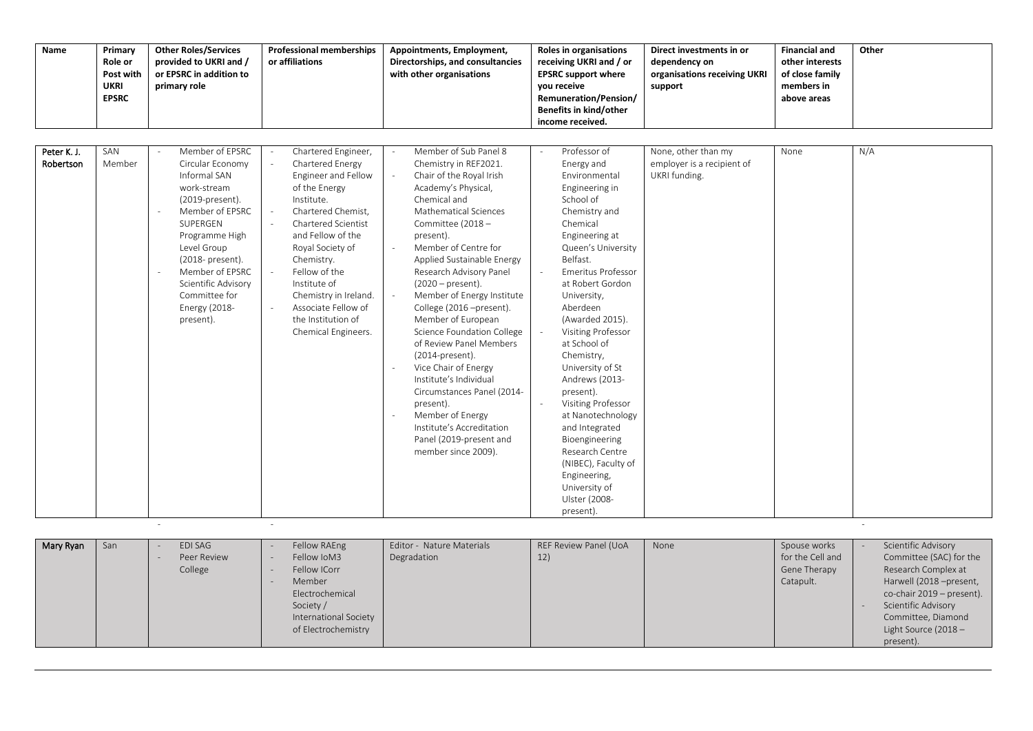| Name                     | Primary<br>Role or<br>Post with<br><b>UKRI</b><br><b>EPSRC</b> | <b>Other Roles/Services</b><br>provided to UKRI and /<br>or EPSRC in addition to<br>primary role                                                                                                                                                                   | <b>Professional memberships</b><br>or affiliations                                                                                                                                                                                                                                                                                                                      | Appointments, Employment,<br>Directorships, and consultancies<br>with other organisations                                                                                                                                                                                                                                                                                                                                                                                                                                                                                                                                                                            | Roles in organisations<br>receiving UKRI and / or<br><b>EPSRC support where</b><br>vou receive<br>Remuneration/Pension/<br>Benefits in kind/other<br>income received.                                                                                                                                                                                                                                                                                                                                                                                                   | Direct investments in or<br>dependency on<br>organisations receiving UKRI<br>support | <b>Financial and</b><br>other interests<br>of close family<br>members in<br>above areas | Other |
|--------------------------|----------------------------------------------------------------|--------------------------------------------------------------------------------------------------------------------------------------------------------------------------------------------------------------------------------------------------------------------|-------------------------------------------------------------------------------------------------------------------------------------------------------------------------------------------------------------------------------------------------------------------------------------------------------------------------------------------------------------------------|----------------------------------------------------------------------------------------------------------------------------------------------------------------------------------------------------------------------------------------------------------------------------------------------------------------------------------------------------------------------------------------------------------------------------------------------------------------------------------------------------------------------------------------------------------------------------------------------------------------------------------------------------------------------|-------------------------------------------------------------------------------------------------------------------------------------------------------------------------------------------------------------------------------------------------------------------------------------------------------------------------------------------------------------------------------------------------------------------------------------------------------------------------------------------------------------------------------------------------------------------------|--------------------------------------------------------------------------------------|-----------------------------------------------------------------------------------------|-------|
| Peter K. J.<br>Robertson | SAN<br>Member                                                  | Member of EPSRC<br>Circular Economy<br>Informal SAN<br>work-stream<br>(2019-present).<br>Member of EPSRC<br>SUPERGEN<br>Programme High<br>Level Group<br>(2018- present).<br>Member of EPSRC<br>Scientific Advisory<br>Committee for<br>Energy (2018-<br>present). | Chartered Engineer,<br>Chartered Energy<br>$\sim$<br>Engineer and Fellow<br>of the Energy<br>Institute.<br>Chartered Chemist,<br>$\sim$<br>Chartered Scientist<br>and Fellow of the<br>Royal Society of<br>Chemistry.<br>Fellow of the<br>$\sim$<br>Institute of<br>Chemistry in Ireland.<br>Associate Fellow of<br>the Institution of<br>Chemical Engineers.<br>$\sim$ | Member of Sub Panel 8<br>Chemistry in REF2021.<br>Chair of the Royal Irish<br>$\sim$<br>Academy's Physical,<br>Chemical and<br>Mathematical Sciences<br>Committee (2018 -<br>present).<br>Member of Centre for<br>$\sim$<br>Applied Sustainable Energy<br>Research Advisory Panel<br>$(2020 - present).$<br>Member of Energy Institute<br>College (2016 -present).<br>Member of European<br>Science Foundation College<br>of Review Panel Members<br>(2014-present).<br>Vice Chair of Energy<br>Institute's Individual<br>Circumstances Panel (2014-<br>present).<br>Member of Energy<br>Institute's Accreditation<br>Panel (2019-present and<br>member since 2009). | Professor of<br>Energy and<br>Environmental<br>Engineering in<br>School of<br>Chemistry and<br>Chemical<br>Engineering at<br>Queen's University<br>Belfast.<br><b>Emeritus Professor</b><br>at Robert Gordon<br>University,<br>Aberdeen<br>(Awarded 2015).<br><b>Visiting Professor</b><br>at School of<br>Chemistry,<br>University of St<br>Andrews (2013-<br>present).<br><b>Visiting Professor</b><br>at Nanotechnology<br>and Integrated<br>Bioengineering<br>Research Centre<br>(NIBEC), Faculty of<br>Engineering,<br>University of<br>Ulster (2008-<br>present). | None, other than my<br>employer is a recipient of<br>UKRI funding.                   | None                                                                                    | N/A   |

| Mary Ryan | San | EDI SAG<br>Peer Review<br>College | Fellow RAEng<br>Fellow IoM3<br>Fellow ICorr<br>Member<br>Electrochemical | Editor - Nature Materials<br>Degradation | REF Review Panel (UoA<br>12) | None | Spouse works<br>for the Cell and<br>Gene Therapy<br>Catapult. | Scientific Advisory<br>Committee (SAC) for the<br>Research Complex at<br>Harwell (2018 -present,<br>co-chair 2019 – present). |
|-----------|-----|-----------------------------------|--------------------------------------------------------------------------|------------------------------------------|------------------------------|------|---------------------------------------------------------------|-------------------------------------------------------------------------------------------------------------------------------|
|           |     |                                   | Society /<br>International Society<br>of Electrochemistry                |                                          |                              |      |                                                               | Scientific Advisory<br>Committee, Diamond<br>Light Source (2018 $-$<br>present).                                              |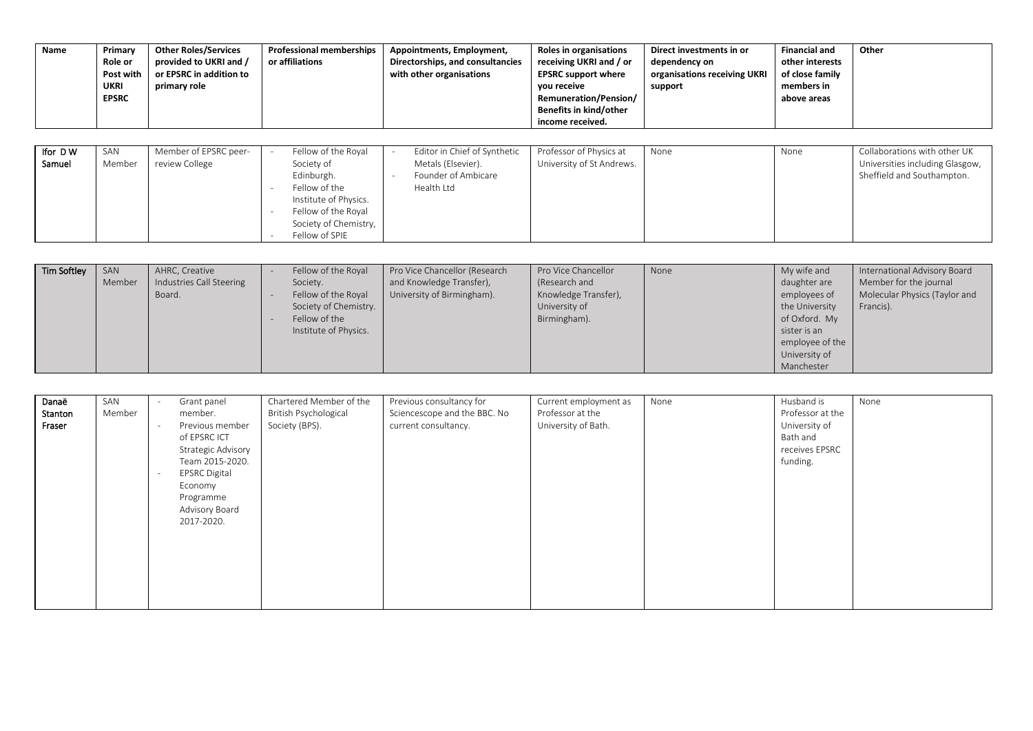| Name              | Primary<br>Role or<br>Post with<br><b>UKRI</b><br><b>EPSRC</b> | <b>Other Roles/Services</b><br>provided to UKRI and /<br>or EPSRC in addition to<br>primary role | <b>Professional memberships</b><br>or affiliations                                                                                                               | Appointments, Employment,<br>Directorships, and consultancies<br>with other organisations | Roles in organisations<br>receiving UKRI and / or<br><b>EPSRC support where</b><br>you receive<br>Remuneration/Pension/<br>Benefits in kind/other<br>income received. | Direct investments in or<br>dependency on<br>organisations receiving UKRI<br>support | <b>Financial and</b><br>other interests<br>of close family<br>members in<br>above areas | Other                                                                                         |
|-------------------|----------------------------------------------------------------|--------------------------------------------------------------------------------------------------|------------------------------------------------------------------------------------------------------------------------------------------------------------------|-------------------------------------------------------------------------------------------|-----------------------------------------------------------------------------------------------------------------------------------------------------------------------|--------------------------------------------------------------------------------------|-----------------------------------------------------------------------------------------|-----------------------------------------------------------------------------------------------|
| Ifor DW<br>Samuel | SAN<br>Member                                                  | Member of EPSRC peer-<br>review College                                                          | Fellow of the Royal<br>Society of<br>Edinburgh.<br>Fellow of the<br>Institute of Physics.<br>Fellow of the Roval<br>-<br>Society of Chemistry,<br>Fellow of SPIE | Editor in Chief of Synthetic<br>Metals (Elsevier).<br>Founder of Ambicare<br>Health Ltd   | Professor of Physics at<br>University of St Andrews.                                                                                                                  | None                                                                                 | None                                                                                    | Collaborations with other UK<br>Universities including Glasgow,<br>Sheffield and Southampton. |

| <b>Tim Softley</b> | SAN    | AHRC, Creative           | Fellow of the Royal   | Pro Vice Chancellor (Research | Pro Vice Chancellor  | None | My wife and     | International Advisory Board  |
|--------------------|--------|--------------------------|-----------------------|-------------------------------|----------------------|------|-----------------|-------------------------------|
|                    | Member | Industries Call Steering | Society.              | and Knowledge Transfer),      | (Research and        |      | daughter are    | Member for the journal        |
|                    |        | Board.                   | Fellow of the Royal   | University of Birmingham).    | Knowledge Transfer), |      | employees of    | Molecular Physics (Taylor and |
|                    |        |                          | Society of Chemistry. |                               | University of        |      | the University  | Francis).                     |
|                    |        |                          | Fellow of the         |                               | Birmingham).         |      | of Oxford. My   |                               |
|                    |        |                          | Institute of Physics. |                               |                      |      | sister is an    |                               |
|                    |        |                          |                       |                               |                      |      | employee of the |                               |
|                    |        |                          |                       |                               |                      |      | University of   |                               |
|                    |        |                          |                       |                               |                      |      | Manchester      |                               |

| Danaë   | SAN    | Grant panel          | Chartered Member of the | Previous consultancy for     | Current employment as | None | Husband is       | None |
|---------|--------|----------------------|-------------------------|------------------------------|-----------------------|------|------------------|------|
| Stanton | Member | member.              | British Psychological   | Sciencescope and the BBC. No | Professor at the      |      | Professor at the |      |
| Fraser  |        | Previous member      | Society (BPS).          | current consultancy.         | University of Bath.   |      | University of    |      |
|         |        | of EPSRC ICT         |                         |                              |                       |      | Bath and         |      |
|         |        | Strategic Advisory   |                         |                              |                       |      | receives EPSRC   |      |
|         |        | Team 2015-2020.      |                         |                              |                       |      | funding.         |      |
|         |        | <b>EPSRC Digital</b> |                         |                              |                       |      |                  |      |
|         |        | Economy              |                         |                              |                       |      |                  |      |
|         |        | Programme            |                         |                              |                       |      |                  |      |
|         |        | Advisory Board       |                         |                              |                       |      |                  |      |
|         |        | 2017-2020.           |                         |                              |                       |      |                  |      |
|         |        |                      |                         |                              |                       |      |                  |      |
|         |        |                      |                         |                              |                       |      |                  |      |
|         |        |                      |                         |                              |                       |      |                  |      |
|         |        |                      |                         |                              |                       |      |                  |      |
|         |        |                      |                         |                              |                       |      |                  |      |
|         |        |                      |                         |                              |                       |      |                  |      |
|         |        |                      |                         |                              |                       |      |                  |      |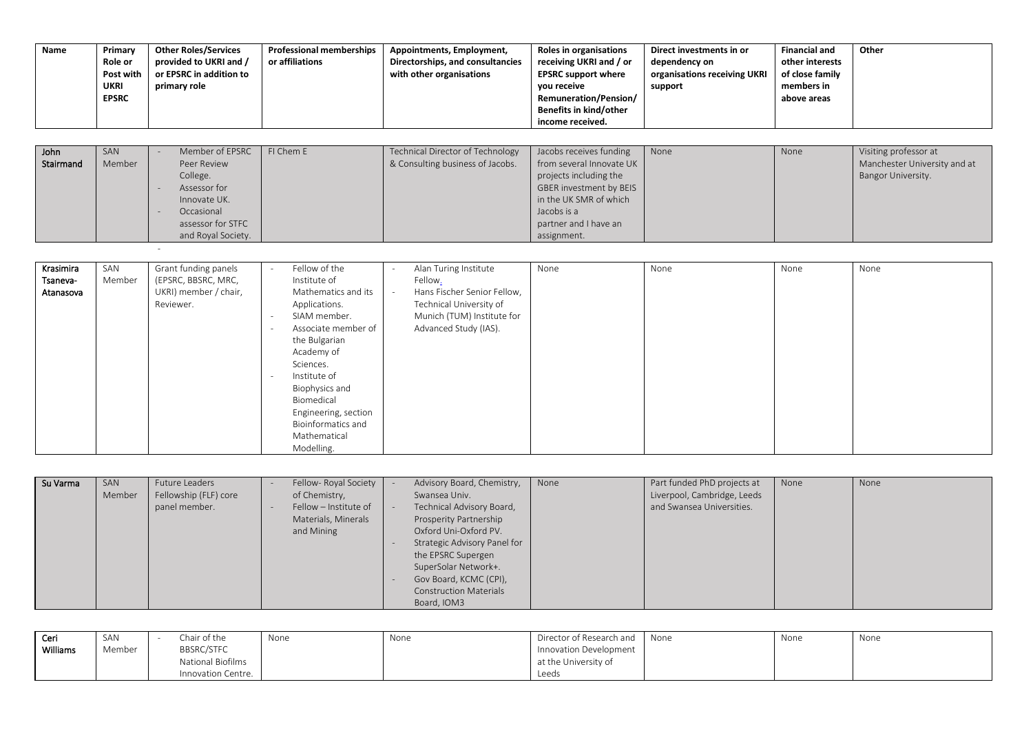| Name      | Primary<br>Role or<br>Post with<br>UKRI<br><b>EPSRC</b> | <b>Other Roles/Services</b><br>provided to UKRI and /<br>or EPSRC in addition to<br>primary role | <b>Professional memberships</b><br>or affiliations | Appointments, Employment,<br>Directorships, and consultancies<br>with other organisations | Roles in organisations<br>receiving UKRI and / or<br><b>EPSRC support where</b><br>you receive<br>Remuneration/Pension/<br>Benefits in kind/other<br>income received. | Direct investments in or<br>dependency on<br>organisations receiving UKRI<br>support | <b>Financial and</b><br>other interests<br>of close family<br>members in<br>above areas | Other                        |
|-----------|---------------------------------------------------------|--------------------------------------------------------------------------------------------------|----------------------------------------------------|-------------------------------------------------------------------------------------------|-----------------------------------------------------------------------------------------------------------------------------------------------------------------------|--------------------------------------------------------------------------------------|-----------------------------------------------------------------------------------------|------------------------------|
|           |                                                         |                                                                                                  |                                                    |                                                                                           |                                                                                                                                                                       |                                                                                      |                                                                                         |                              |
| John      | SAN                                                     | Member of EPSRC                                                                                  | FI Chem E                                          | <b>Technical Director of Technology</b>                                                   | Jacobs receives funding                                                                                                                                               | None                                                                                 | None                                                                                    | Visiting professor at        |
| Stairmand | Member                                                  | Peer Review                                                                                      |                                                    | & Consulting business of Jacobs.                                                          | from several Innovate UK                                                                                                                                              |                                                                                      |                                                                                         | Manchester University and at |
|           |                                                         | College.                                                                                         |                                                    |                                                                                           | projects including the                                                                                                                                                |                                                                                      |                                                                                         | Bangor University.           |
|           |                                                         | Assessor for                                                                                     |                                                    |                                                                                           | GBER investment by BEIS                                                                                                                                               |                                                                                      |                                                                                         |                              |
|           |                                                         | Innovate UK.                                                                                     |                                                    |                                                                                           | in the UK SMR of which                                                                                                                                                |                                                                                      |                                                                                         |                              |
|           |                                                         | Occasional                                                                                       |                                                    |                                                                                           | Jacobs is a                                                                                                                                                           |                                                                                      |                                                                                         |                              |
|           |                                                         | assessor for STFC                                                                                |                                                    |                                                                                           | partner and I have an                                                                                                                                                 |                                                                                      |                                                                                         |                              |

assignment.

and Royal Society.

**-** The contract of the contract of the

| Krasimira<br>Tsaneva-<br>Atanasova | SAN<br>Member | Grant funding panels<br>(EPSRC, BBSRC, MRC,<br>UKRI) member / chair,<br>Reviewer. | $\overline{\phantom{a}}$<br>$\overline{\phantom{a}}$<br>$\overline{\phantom{a}}$ | Fellow of the<br>Institute of<br>Mathematics and its<br>Applications.<br>SIAM member.<br>Associate member of<br>the Bulgarian<br>Academy of<br>Sciences.<br>Institute of<br>Biophysics and<br>Biomedical | Alan Turing Institute<br>Fellow.<br>Hans Fischer Senior Fellow,<br>Technical University of<br>Munich (TUM) Institute for<br>Advanced Study (IAS). | None | None | None | None |
|------------------------------------|---------------|-----------------------------------------------------------------------------------|----------------------------------------------------------------------------------|----------------------------------------------------------------------------------------------------------------------------------------------------------------------------------------------------------|---------------------------------------------------------------------------------------------------------------------------------------------------|------|------|------|------|
|                                    |               |                                                                                   |                                                                                  | Engineering, section<br><b>Bioinformatics and</b><br>Mathematical<br>Modelling.                                                                                                                          |                                                                                                                                                   |      |      |      |      |

| Su Varma | SAN<br>Member | <b>Future Leaders</b><br>Fellowship (FLF) core<br>panel member. |  | Fellow- Royal Society<br>of Chemistry,<br>Fellow - Institute of<br>Materials, Minerals<br>and Mining |  | Advisory Board, Chemistry,<br>Swansea Univ.<br>Technical Advisory Board,<br>Prosperity Partnership<br>Oxford Uni-Oxford PV.<br>Strategic Advisory Panel for<br>the EPSRC Supergen<br>SuperSolar Network+.<br>Gov Board, KCMC (CPI),<br><b>Construction Materials</b><br>Board, IOM3 | None | Part funded PhD projects at<br>Liverpool, Cambridge, Leeds<br>and Swansea Universities. | None | None |
|----------|---------------|-----------------------------------------------------------------|--|------------------------------------------------------------------------------------------------------|--|-------------------------------------------------------------------------------------------------------------------------------------------------------------------------------------------------------------------------------------------------------------------------------------|------|-----------------------------------------------------------------------------------------|------|------|
|----------|---------------|-----------------------------------------------------------------|--|------------------------------------------------------------------------------------------------------|--|-------------------------------------------------------------------------------------------------------------------------------------------------------------------------------------------------------------------------------------------------------------------------------------|------|-----------------------------------------------------------------------------------------|------|------|

| Ceri            | SAN    | Chair of the       | None | None | Director of Research and | None | None | None |
|-----------------|--------|--------------------|------|------|--------------------------|------|------|------|
| <b>Williams</b> | Member | <b>BBSRC/STFC</b>  |      |      | Innovation Development   |      |      |      |
|                 |        | National Biofilms  |      |      | at the University of     |      |      |      |
|                 |        | Innovation Centre. |      |      | Leeds                    |      |      |      |